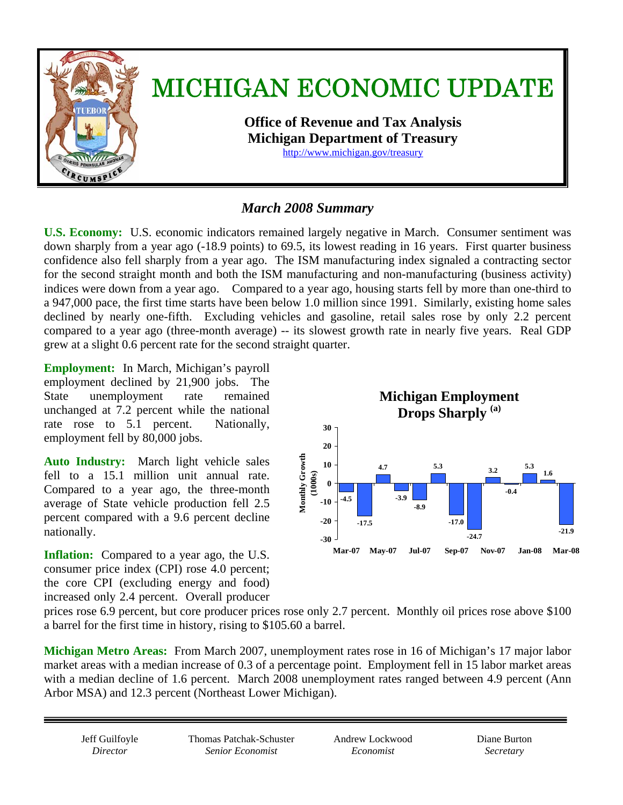

### *March 2008 Summary*

**U.S. Economy:** U.S. economic indicators remained largely negative in March. Consumer sentiment was down sharply from a year ago (-18.9 points) to 69.5, its lowest reading in 16 years. First quarter business confidence also fell sharply from a year ago. The ISM manufacturing index signaled a contracting sector for the second straight month and both the ISM manufacturing and non-manufacturing (business activity) indices were down from a year ago. Compared to a year ago, housing starts fell by more than one-third to a 947,000 pace, the first time starts have been below 1.0 million since 1991. Similarly, existing home sales declined by nearly one-fifth. Excluding vehicles and gasoline, retail sales rose by only 2.2 percent compared to a year ago (three-month average) -- its slowest growth rate in nearly five years. Real GDP grew at a slight 0.6 percent rate for the second straight quarter.

**Employment:** In March, Michigan's payroll employment declined by 21,900 jobs. The State unemployment rate remained unchanged at 7.2 percent while the national rate rose to 5.1 percent. Nationally, employment fell by 80,000 jobs.

**Auto Industry:** March light vehicle sales fell to a 15.1 million unit annual rate. Compared to a year ago, the three-month average of State vehicle production fell 2.5 percent compared with a 9.6 percent decline nationally.

**Inflation:** Compared to a year ago, the U.S. consumer price index (CPI) rose 4.0 percent; the core CPI (excluding energy and food) increased only 2.4 percent. Overall producer



prices rose 6.9 percent, but core producer prices rose only 2.7 percent. Monthly oil prices rose above \$100 a barrel for the first time in history, rising to \$105.60 a barrel.

**Michigan Metro Areas:** From March 2007, unemployment rates rose in 16 of Michigan's 17 major labor market areas with a median increase of 0.3 of a percentage point.Employment fell in 15 labor market areas with a median decline of 1.6 percent. March 2008 unemployment rates ranged between 4.9 percent (Ann Arbor MSA) and 12.3 percent (Northeast Lower Michigan).

Jeff Guilfoyle *Director* 

Thomas Patchak-Schuster *Senior Economist* 

Andrew Lockwood *Economist* 

Diane Burton *Secretary*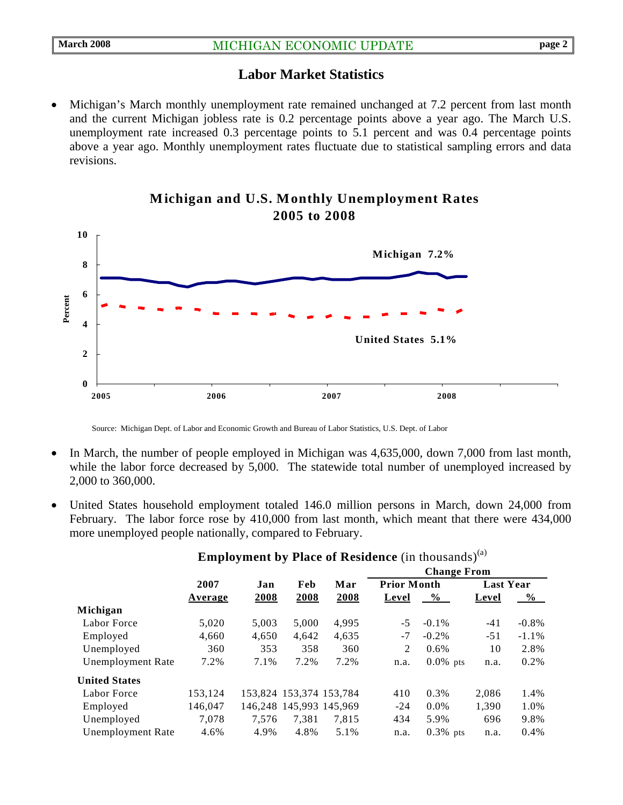#### **Labor Market Statistics**

Michigan's March monthly unemployment rate remained unchanged at 7.2 percent from last month and the current Michigan jobless rate is 0.2 percentage points above a year ago. The March U.S. unemployment rate increased 0.3 percentage points to 5.1 percent and was 0.4 percentage points above a year ago. Monthly unemployment rates fluctuate due to statistical sampling errors and data revisions.



#### **Michigan and U.S. Monthly Unemployment Rates 2005 to 2008**

Source: Michigan Dept. of Labor and Economic Growth and Bureau of Labor Statistics, U.S. Dept. of Labor

- In March, the number of people employed in Michigan was 4,635,000, down 7,000 from last month, while the labor force decreased by 5,000. The statewide total number of unemployed increased by 2,000 to 360,000.
- United States household employment totaled 146.0 million persons in March, down 24,000 from February. The labor force rose by 410,000 from last month, which meant that there were 434,000 more unemployed people nationally, compared to February.

|                          |         | Jan   | Feb   | Mar                     | <b>Change From</b> |             |                  |          |
|--------------------------|---------|-------|-------|-------------------------|--------------------|-------------|------------------|----------|
|                          | 2007    |       |       |                         | <b>Prior Month</b> |             | <b>Last Year</b> |          |
|                          | Average | 2008  | 2008  | 2008                    | Level              | $\%$        | Level            | $\%$     |
| Michigan                 |         |       |       |                         |                    |             |                  |          |
| Labor Force              | 5,020   | 5,003 | 5,000 | 4,995                   | $-5$               | $-0.1\%$    | $-41$            | $-0.8\%$ |
| Employed                 | 4,660   | 4,650 | 4.642 | 4,635                   | -7                 | $-0.2\%$    | $-51$            | $-1.1\%$ |
| Unemployed               | 360     | 353   | 358   | 360                     | 2                  | 0.6%        | 10               | 2.8%     |
| <b>Unemployment Rate</b> | 7.2%    | 7.1%  | 7.2%  | 7.2%                    | n.a.               | $0.0\%$ pts | n.a.             | $0.2\%$  |
| <b>United States</b>     |         |       |       |                         |                    |             |                  |          |
| Labor Force              | 153.124 |       |       | 153,824 153,374 153,784 | 410                | 0.3%        | 2.086            | 1.4%     |
| Employed                 | 146,047 |       |       | 146,248 145,993 145,969 | $-24$              | $0.0\%$     | 1,390            | 1.0%     |
| Unemployed               | 7.078   | 7.576 | 7.381 | 7,815                   | 434                | 5.9%        | 696              | 9.8%     |
| Unemployment Rate        | 4.6%    | 4.9%  | 4.8%  | 5.1%                    | n.a.               | $0.3\%$ pts | n.a.             | 0.4%     |
|                          |         |       |       |                         |                    |             |                  |          |

#### **Employment by Place of Residence** (in thousands)<sup>(a)</sup>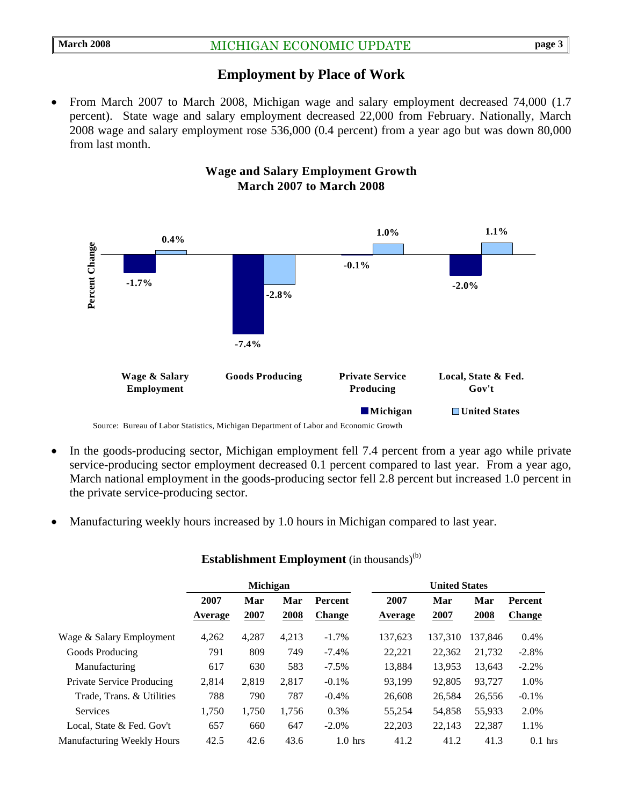#### **Employment by Place of Work**

• From March 2007 to March 2008, Michigan wage and salary employment decreased 74,000 (1.7) percent).State wage and salary employment decreased 22,000 from February. Nationally, March 2008 wage and salary employment rose 536,000 (0.4 percent) from a year ago but was down 80,000 from last month.



#### **Wage and Salary Employment Growth March 2007 to March 2008**

- In the goods-producing sector, Michigan employment fell 7.4 percent from a year ago while private service-producing sector employment decreased 0.1 percent compared to last year. From a year ago, March national employment in the goods-producing sector fell 2.8 percent but increased 1.0 percent in the private service-producing sector.
- Manufacturing weekly hours increased by 1.0 hours in Michigan compared to last year.

|                                   | <b>Michigan</b> |       |       |                | <b>United States</b> |         |         |               |
|-----------------------------------|-----------------|-------|-------|----------------|----------------------|---------|---------|---------------|
|                                   | 2007            | Mar   | Mar   | <b>Percent</b> | 2007                 | Mar     | Mar     | Percent       |
|                                   | Average         | 2007  | 2008  | <b>Change</b>  | Average              | 2007    | 2008    | <b>Change</b> |
| Wage & Salary Employment          | 4,262           | 4,287 | 4,213 | $-1.7\%$       | 137,623              | 137.310 | 137.846 | 0.4%          |
| Goods Producing                   | 791             | 809   | 749   | $-7.4%$        | 22.221               | 22.362  | 21,732  | $-2.8\%$      |
| Manufacturing                     | 617             | 630   | 583   | $-7.5\%$       | 13.884               | 13,953  | 13,643  | $-2.2%$       |
| Private Service Producing         | 2.814           | 2,819 | 2,817 | $-0.1\%$       | 93.199               | 92,805  | 93,727  | 1.0%          |
| Trade, Trans. & Utilities         | 788             | 790   | 787   | $-0.4%$        | 26,608               | 26,584  | 26,556  | $-0.1\%$      |
| <b>Services</b>                   | 1,750           | 1.750 | 1,756 | 0.3%           | 55,254               | 54,858  | 55,933  | 2.0%          |
| Local, State & Fed. Gov't         | 657             | 660   | 647   | $-2.0\%$       | 22,203               | 22,143  | 22,387  | 1.1%          |
| <b>Manufacturing Weekly Hours</b> | 42.5            | 42.6  | 43.6  | $1.0$ hrs      | 41.2                 | 41.2    | 41.3    | $0.1$ hrs     |

#### **Establishment Employment** (in thousands)<sup>(b)</sup>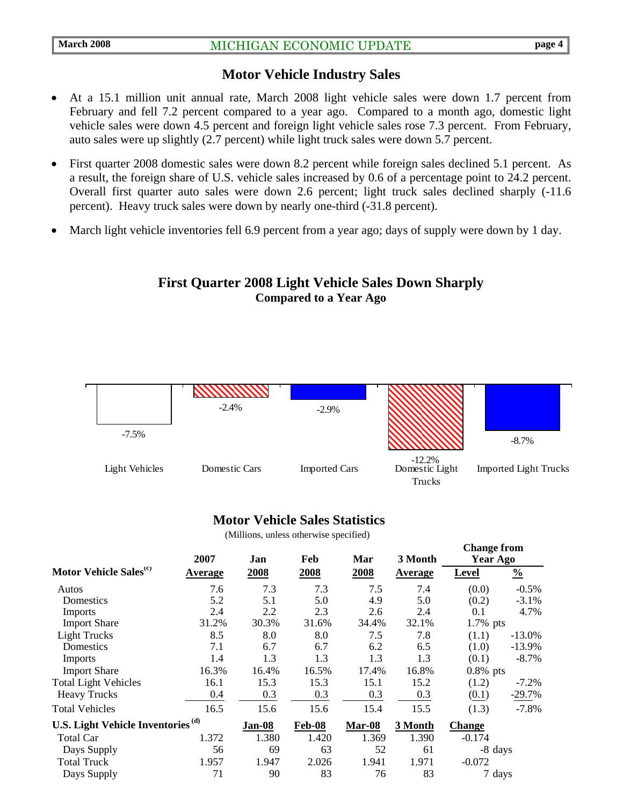#### **Motor Vehicle Industry Sales**

- At a 15.1 million unit annual rate, March 2008 light vehicle sales were down 1.7 percent from February and fell 7.2 percent compared to a year ago. Compared to a month ago, domestic light vehicle sales were down 4.5 percent and foreign light vehicle sales rose 7.3 percent. From February, auto sales were up slightly (2.7 percent) while light truck sales were down 5.7 percent.
- First quarter 2008 domestic sales were down 8.2 percent while foreign sales declined 5.1 percent. As a result, the foreign share of U.S. vehicle sales increased by 0.6 of a percentage point to 24.2 percent. Overall first quarter auto sales were down 2.6 percent; light truck sales declined sharply (-11.6 percent). Heavy truck sales were down by nearly one-third (-31.8 percent).
- March light vehicle inventories fell 6.9 percent from a year ago; days of supply were down by 1 day.

#### **First Quarter 2008 Light Vehicle Sales Down Sharply Compared to a Year Ago**



#### **Motor Vehicle Sales Statistics**

(Millions, unless otherwise specified)

|                                               | 2007    | Jan    | Feb    | Mar    | 3 Month | <b>Change from</b><br>Year Ago |               |
|-----------------------------------------------|---------|--------|--------|--------|---------|--------------------------------|---------------|
| Motor Vehicle Sales <sup>(c)</sup>            | Average | 2008   | 2008   | 2008   | Average | <b>Level</b>                   | $\frac{0}{0}$ |
| Autos                                         | 7.6     | 7.3    | 7.3    | 7.5    | 7.4     | (0.0)                          | $-0.5\%$      |
| Domestics                                     | 5.2     | 5.1    | 5.0    | 4.9    | 5.0     | (0.2)                          | $-3.1\%$      |
| <b>Imports</b>                                | 2.4     | 2.2    | 2.3    | 2.6    | 2.4     | 0.1                            | 4.7%          |
| <b>Import Share</b>                           | 31.2%   | 30.3%  | 31.6%  | 34.4%  | 32.1%   | $1.7\%$ pts                    |               |
| <b>Light Trucks</b>                           | 8.5     | 8.0    | 8.0    | 7.5    | 7.8     | (1.1)                          | $-13.0%$      |
| Domestics                                     | 7.1     | 6.7    | 6.7    | 6.2    | 6.5     | (1.0)                          | $-13.9%$      |
| Imports                                       | 1.4     | 1.3    | 1.3    | 1.3    | 1.3     | (0.1)                          | $-8.7\%$      |
| <b>Import Share</b>                           | 16.3%   | 16.4%  | 16.5%  | 17.4%  | 16.8%   | $0.8\%$ pts                    |               |
| <b>Total Light Vehicles</b>                   | 16.1    | 15.3   | 15.3   | 15.1   | 15.2    | (1.2)                          | $-7.2\%$      |
| <b>Heavy Trucks</b>                           | 0.4     | 0.3    | 0.3    | 0.3    | 0.3     | (0.1)                          | $-29.7%$      |
| <b>Total Vehicles</b>                         | 16.5    | 15.6   | 15.6   | 15.4   | 15.5    | (1.3)                          | $-7.8%$       |
| U.S. Light Vehicle Inventories <sup>(d)</sup> |         | Jan-08 | Feb-08 | Mar-08 | 3 Month | <b>Change</b>                  |               |
| <b>Total Car</b>                              | 1.372   | 1.380  | 1.420  | 1.369  | 1.390   | $-0.174$                       |               |
| Days Supply                                   | 56      | 69     | 63     | 52     | 61      |                                | -8 days       |
| <b>Total Truck</b>                            | 1.957   | 1.947  | 2.026  | 1.941  | 1.971   | $-0.072$                       |               |
| Days Supply                                   | 71      | 90     | 83     | 76     | 83      |                                | 7 days        |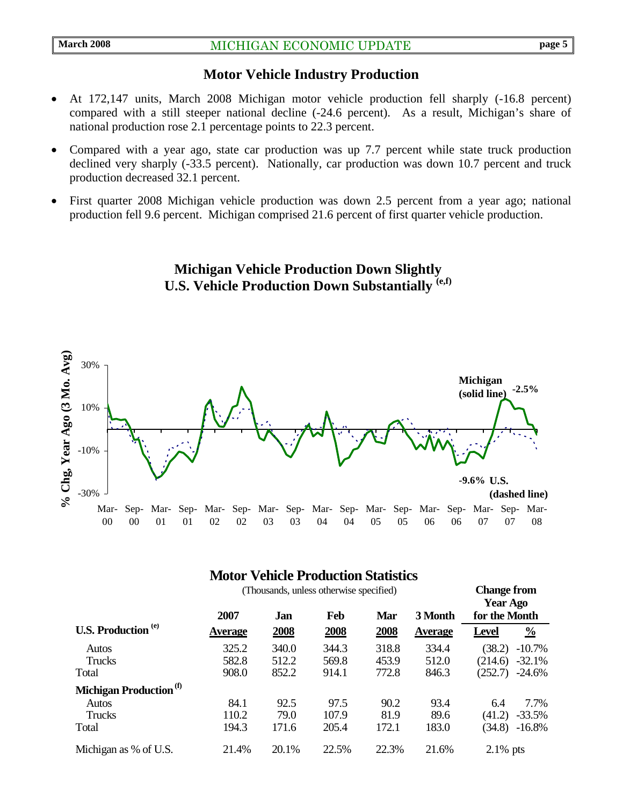#### **Motor Vehicle Industry Production**

- At 172,147 units, March 2008 Michigan motor vehicle production fell sharply (-16.8 percent) compared with a still steeper national decline (-24.6 percent). As a result, Michigan's share of national production rose 2.1 percentage points to 22.3 percent.
- Compared with a year ago, state car production was up 7.7 percent while state truck production declined very sharply (-33.5 percent). Nationally, car production was down 10.7 percent and truck production decreased 32.1 percent.
- First quarter 2008 Michigan vehicle production was down 2.5 percent from a year ago; national production fell 9.6 percent. Michigan comprised 21.6 percent of first quarter vehicle production.

**Michigan Vehicle Production Down Slightly U.S. Vehicle Production Down Substantially (e,f)** 



#### **Motor Vehicle Production Statistics**

|                                    | (Thousands, unless otherwise specified) |       |       |       |                |               | <b>Change from</b><br><b>Year Ago</b> |  |  |
|------------------------------------|-----------------------------------------|-------|-------|-------|----------------|---------------|---------------------------------------|--|--|
|                                    | 2007                                    | Jan   | Feb   | Mar   | 3 Month        | for the Month |                                       |  |  |
| <b>U.S. Production</b> (e)         | <b>Average</b>                          | 2008  | 2008  | 2008  | <b>Average</b> | <b>Level</b>  | $\frac{0}{0}$                         |  |  |
| Autos                              | 325.2                                   | 340.0 | 344.3 | 318.8 | 334.4          | (38.2)        | $-10.7\%$                             |  |  |
| Trucks                             | 582.8                                   | 512.2 | 569.8 | 453.9 | 512.0          | (214.6)       | $-32.1%$                              |  |  |
| Total                              | 908.0                                   | 852.2 | 914.1 | 772.8 | 846.3          | (252.7)       | $-24.6%$                              |  |  |
| Michigan Production <sup>(f)</sup> |                                         |       |       |       |                |               |                                       |  |  |
| Autos                              | 84.1                                    | 92.5  | 97.5  | 90.2  | 93.4           | 6.4           | 7.7%                                  |  |  |
| Trucks                             | 110.2                                   | 79.0  | 107.9 | 81.9  | 89.6           | (41.2)        | $-33.5%$                              |  |  |
| Total                              | 194.3                                   | 171.6 | 205.4 | 172.1 | 183.0          | (34.8)        | $-16.8\%$                             |  |  |
| Michigan as % of U.S.              | 21.4%                                   | 20.1% | 22.5% | 22.3% | 21.6%          | $2.1\%$ pts   |                                       |  |  |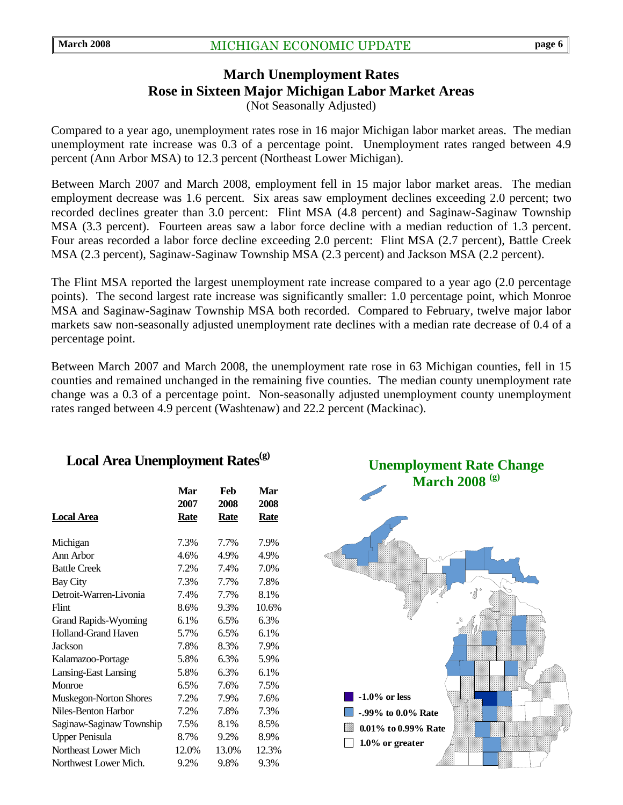# **March Unemployment Rates Rose in Sixteen Major Michigan Labor Market Areas**

(Not Seasonally Adjusted)

Compared to a year ago, unemployment rates rose in 16 major Michigan labor market areas. The median unemployment rate increase was 0.3 of a percentage point. Unemployment rates ranged between 4.9 percent (Ann Arbor MSA) to 12.3 percent (Northeast Lower Michigan).

Between March 2007 and March 2008, employment fell in 15 major labor market areas. The median employment decrease was 1.6 percent. Six areas saw employment declines exceeding 2.0 percent; two recorded declines greater than 3.0 percent: Flint MSA (4.8 percent) and Saginaw-Saginaw Township MSA (3.3 percent). Fourteen areas saw a labor force decline with a median reduction of 1.3 percent. Four areas recorded a labor force decline exceeding 2.0 percent: Flint MSA (2.7 percent), Battle Creek MSA (2.3 percent), Saginaw-Saginaw Township MSA (2.3 percent) and Jackson MSA (2.2 percent).

The Flint MSA reported the largest unemployment rate increase compared to a year ago (2.0 percentage points). The second largest rate increase was significantly smaller: 1.0 percentage point, which Monroe MSA and Saginaw-Saginaw Township MSA both recorded. Compared to February, twelve major labor markets saw non-seasonally adjusted unemployment rate declines with a median rate decrease of 0.4 of a percentage point.

Between March 2007 and March 2008, the unemployment rate rose in 63 Michigan counties, fell in 15 counties and remained unchanged in the remaining five counties. The median county unemployment rate change was a 0.3 of a percentage point. Non-seasonally adjusted unemployment county unemployment rates ranged between 4.9 percent (Washtenaw) and 22.2 percent (Mackinac).

#### Local Area Unemployment Rates<sup>(g)</sup>

| <b>Local Area</b>           | Mar<br>2007<br><b>Rate</b> | Feb<br>2008<br><b>Rate</b> | Mar<br>2008<br>Rate |
|-----------------------------|----------------------------|----------------------------|---------------------|
|                             |                            |                            |                     |
| Michigan                    | 7.3%                       | 7.7%                       | 7.9%                |
| Ann Arbor                   | 4.6%                       | 4.9%                       | 4.9%                |
| <b>Battle Creek</b>         | 7.2%                       | 7.4%                       | 7.0%                |
| <b>Bay City</b>             | 7.3%                       | 7.7%                       | 7.8%                |
| Detroit-Warren-Livonia      | 7.4%                       | 7.7%                       | 8.1%                |
| Flint                       | 8.6%                       | 9.3%                       | 10.6%               |
| <b>Grand Rapids-Wyoming</b> | 6.1%                       | 6.5%                       | 6.3%                |
| <b>Holland-Grand Haven</b>  | 5.7%                       | 6.5%                       | 6.1%                |
| <b>Jackson</b>              | 7.8%                       | 8.3%                       | 7.9%                |
| Kalamazoo-Portage           | 5.8%                       | 6.3%                       | 5.9%                |
| Lansing-East Lansing        | 5.8%                       | 6.3%                       | 6.1%                |
| Monroe                      | 6.5%                       | 7.6%                       | 7.5%                |
| Muskegon-Norton Shores      | 7.2%                       | 7.9%                       | 7.6%                |
| Niles-Benton Harbor         | 7.2%                       | 7.8%                       | 7.3%                |
| Saginaw-Saginaw Township    | 7.5%                       | 8.1%                       | 8.5%                |
| <b>Upper Penisula</b>       | 8.7%                       | 9.2%                       | 8.9%                |
| Northeast Lower Mich        | 12.0%                      | 13.0%                      | 12.3%               |
| Northwest Lower Mich.       | 9.2%                       | 9.8%                       | 9.3%                |

**Unemployment Rate Change March 2008 (g)**

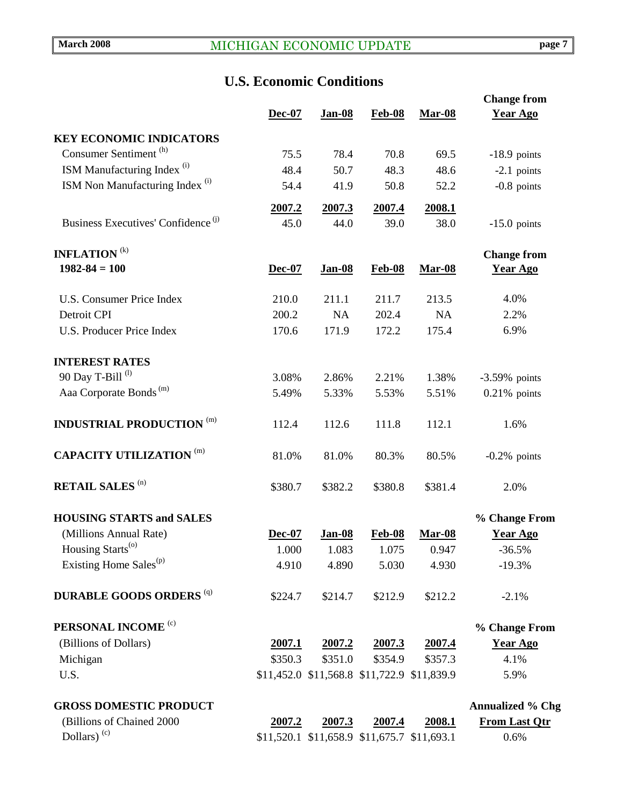## **U.S. Economic Conditions**

|                                                |                |                |                                             |                | <b>Change from</b>      |
|------------------------------------------------|----------------|----------------|---------------------------------------------|----------------|-------------------------|
|                                                | $Dec-07$       | <b>Jan-08</b>  | $Feb-08$                                    | <b>Mar-08</b>  | <b>Year Ago</b>         |
| <b>KEY ECONOMIC INDICATORS</b>                 |                |                |                                             |                |                         |
| Consumer Sentiment <sup>(h)</sup>              | 75.5           | 78.4           | 70.8                                        | 69.5           | $-18.9$ points          |
| ISM Manufacturing Index <sup>(i)</sup>         | 48.4           | 50.7           | 48.3                                        | 48.6           | $-2.1$ points           |
| ISM Non Manufacturing Index <sup>(i)</sup>     | 54.4           | 41.9           | 50.8                                        | 52.2           | $-0.8$ points           |
|                                                |                |                |                                             |                |                         |
| Business Executives' Confidence <sup>(j)</sup> | 2007.2<br>45.0 | 2007.3<br>44.0 | 2007.4<br>39.0                              | 2008.1<br>38.0 |                         |
|                                                |                |                |                                             |                | $-15.0$ points          |
| <b>INFLATION</b> <sup>(k)</sup>                |                |                |                                             |                | <b>Change from</b>      |
| $1982 - 84 = 100$                              | Dec-07         | <b>Jan-08</b>  | <b>Feb-08</b>                               | <b>Mar-08</b>  | <b>Year Ago</b>         |
|                                                |                |                |                                             |                |                         |
| <b>U.S. Consumer Price Index</b>               | 210.0          | 211.1          | 211.7                                       | 213.5          | 4.0%                    |
| Detroit CPI                                    | 200.2          | NA             | 202.4                                       | <b>NA</b>      | 2.2%                    |
| <b>U.S. Producer Price Index</b>               | 170.6          | 171.9          | 172.2                                       | 175.4          | 6.9%                    |
| <b>INTEREST RATES</b>                          |                |                |                                             |                |                         |
| 90 Day T-Bill <sup>(l)</sup>                   | 3.08%          | 2.86%          | 2.21%                                       | 1.38%          | $-3.59%$ points         |
| Aaa Corporate Bonds <sup>(m)</sup>             | 5.49%          | 5.33%          | 5.53%                                       | 5.51%          | $0.21\%$ points         |
|                                                |                |                |                                             |                |                         |
| <b>INDUSTRIAL PRODUCTION (m)</b>               | 112.4          | 112.6          | 111.8                                       | 112.1          | 1.6%                    |
| <b>CAPACITY UTILIZATION (m)</b>                | 81.0%          | 81.0%          | 80.3%                                       | 80.5%          | $-0.2\%$ points         |
| <b>RETAIL SALES (n)</b>                        | \$380.7        | \$382.2        | \$380.8                                     | \$381.4        | 2.0%                    |
| <b>HOUSING STARTS and SALES</b>                |                |                |                                             |                | % Change From           |
| (Millions Annual Rate)                         | Dec-07         | <b>Jan-08</b>  | $Feb-08$                                    | <b>Mar-08</b>  | <b>Year Ago</b>         |
| Housing Starts <sup>(o)</sup>                  | 1.000          | 1.083          | 1.075                                       | 0.947          | $-36.5%$                |
| Existing Home Sales <sup>(p)</sup>             | 4.910          | 4.890          | 5.030                                       | 4.930          | $-19.3%$                |
| <b>DURABLE GOODS ORDERS (q)</b>                | \$224.7        | \$214.7        | \$212.9                                     | \$212.2        | $-2.1%$                 |
| PERSONAL INCOME <sup>(c)</sup>                 |                |                |                                             |                | % Change From           |
| (Billions of Dollars)                          | 2007.1         | 2007.2         | 2007.3                                      | 2007.4         | <b>Year Ago</b>         |
| Michigan                                       | \$350.3        | \$351.0        | \$354.9                                     | \$357.3        | 4.1%                    |
| U.S.                                           |                |                | \$11,452.0 \$11,568.8 \$11,722.9 \$11,839.9 |                | 5.9%                    |
| <b>GROSS DOMESTIC PRODUCT</b>                  |                |                |                                             |                | <b>Annualized % Chg</b> |
| (Billions of Chained 2000                      | 2007.2         | 2007.3         | <u>2007.4</u>                               | 2008.1         | From Last Qtr           |
| Dollars) $(c)$                                 |                |                | \$11,520.1 \$11,658.9 \$11,675.7 \$11,693.1 |                | 0.6%                    |